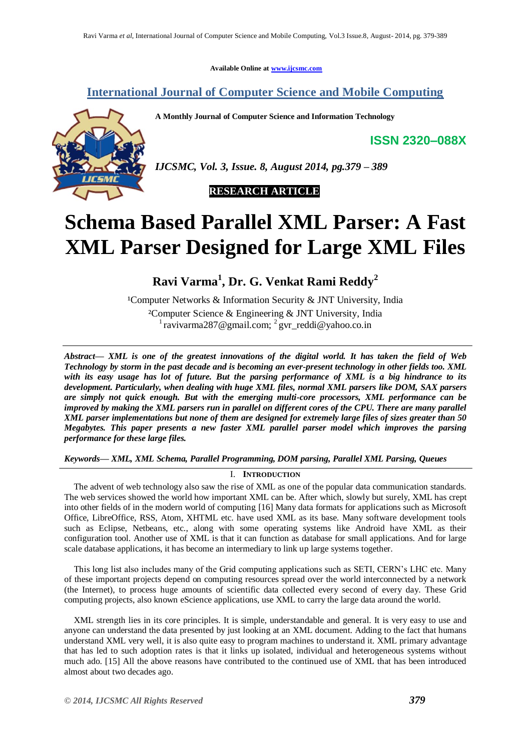**Available Online at [www.ijcsmc.com](http://www.ijcsmc.com/)**

# **International Journal of Computer Science and Mobile Computing**

**A Monthly Journal of Computer Science and Information Technology**

**ISSN 2320–088X**



*IJCSMC, Vol. 3, Issue. 8, August 2014, pg.379 – 389*

 **RESEARCH ARTICLE**

# **Schema Based Parallel XML Parser: A Fast XML Parser Designed for Large XML Files**

**Ravi Varma<sup>1</sup> , Dr. G. Venkat Rami Reddy<sup>2</sup>**

<sup>1</sup>Computer Networks & Information Security & JNT University, India ²Computer Science & Engineering & JNT University, India  $\frac{1}{2}$ ravivarma287@gmail.com;  $\frac{2}{2}$ gvr\_reddi@yahoo.co.in

*Abstract— XML is one of the greatest innovations of the digital world. It has taken the field of Web Technology by storm in the past decade and is becoming an ever-present technology in other fields too. XML with its easy usage has lot of future. But the parsing performance of XML is a big hindrance to its development. Particularly, when dealing with huge XML files, normal XML parsers like DOM, SAX parsers are simply not quick enough. But with the emerging multi-core processors, XML performance can be improved by making the XML parsers run in parallel on different cores of the CPU. There are many parallel XML parser implementations but none of them are designed for extremely large files of sizes greater than 50 Megabytes. This paper presents a new faster XML parallel parser model which improves the parsing performance for these large files.*

*Keywords— XML, XML Schema, Parallel Programming, DOM parsing, Parallel XML Parsing, Queues*

# I. **INTRODUCTION**

The advent of web technology also saw the rise of XML as one of the popular data communication standards. The web services showed the world how important XML can be. After which, slowly but surely, XML has crept into other fields of in the modern world of computing [16] Many data formats for applications such as Microsoft Office, LibreOffice, RSS, Atom, XHTML etc. have used XML as its base. Many software development tools such as Eclipse, Netbeans, etc., along with some operating systems like Android have XML as their configuration tool. Another use of XML is that it can function as database for small applications. And for large scale database applications, it has become an intermediary to link up large systems together.

This long list also includes many of the Grid computing applications such as SETI, CERN's LHC etc. Many of these important projects depend on computing resources spread over the world interconnected by a network (the Internet), to process huge amounts of scientific data collected every second of every day. These Grid computing projects, also known eScience applications, use XML to carry the large data around the world.

XML strength lies in its core principles. It is simple, understandable and general. It is very easy to use and anyone can understand the data presented by just looking at an XML document. Adding to the fact that humans understand XML very well, it is also quite easy to program machines to understand it. XML primary advantage that has led to such adoption rates is that it links up isolated, individual and heterogeneous systems without much ado. [15] All the above reasons have contributed to the continued use of XML that has been introduced almost about two decades ago.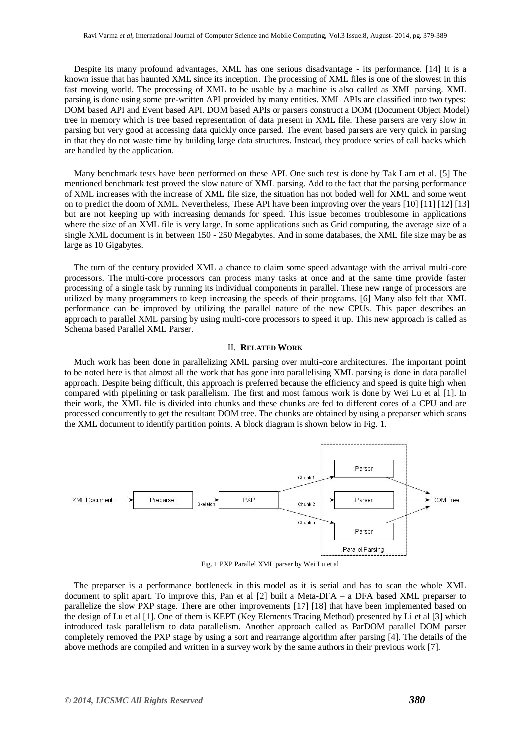Despite its many profound advantages, XML has one serious disadvantage - its performance. [14] It is a known issue that has haunted XML since its inception. The processing of XML files is one of the slowest in this fast moving world. The processing of XML to be usable by a machine is also called as XML parsing. XML parsing is done using some pre-written API provided by many entities. XML APIs are classified into two types: DOM based API and Event based API. DOM based APIs or parsers construct a DOM (Document Object Model) tree in memory which is tree based representation of data present in XML file. These parsers are very slow in parsing but very good at accessing data quickly once parsed. The event based parsers are very quick in parsing in that they do not waste time by building large data structures. Instead, they produce series of call backs which are handled by the application.

Many benchmark tests have been performed on these API. One such test is done by Tak Lam et al. [5] The mentioned benchmark test proved the slow nature of XML parsing. Add to the fact that the parsing performance of XML increases with the increase of XML file size, the situation has not boded well for XML and some went on to predict the doom of XML. Nevertheless, These API have been improving over the years [10] [11] [12] [13] but are not keeping up with increasing demands for speed. This issue becomes troublesome in applications where the size of an XML file is very large. In some applications such as Grid computing, the average size of a single XML document is in between 150 - 250 Megabytes. And in some databases, the XML file size may be as large as 10 Gigabytes.

The turn of the century provided XML a chance to claim some speed advantage with the arrival multi-core processors. The multi-core processors can process many tasks at once and at the same time provide faster processing of a single task by running its individual components in parallel. These new range of processors are utilized by many programmers to keep increasing the speeds of their programs. [6] Many also felt that XML performance can be improved by utilizing the parallel nature of the new CPUs. This paper describes an approach to parallel XML parsing by using multi-core processors to speed it up. This new approach is called as Schema based Parallel XML Parser.

## II. **RELATED WORK**

Much work has been done in parallelizing XML parsing over multi-core architectures. The important point to be noted here is that almost all the work that has gone into parallelising XML parsing is done in data parallel approach. Despite being difficult, this approach is preferred because the efficiency and speed is quite high when compared with pipelining or task parallelism. The first and most famous work is done by Wei Lu et al [1]. In their work, the XML file is divided into chunks and these chunks are fed to different cores of a CPU and are processed concurrently to get the resultant DOM tree. The chunks are obtained by using a preparser which scans the XML document to identify partition points. A block diagram is shown below in Fig. 1.



Fig. 1 PXP Parallel XML parser by Wei Lu et al

The preparser is a performance bottleneck in this model as it is serial and has to scan the whole XML document to split apart. To improve this, Pan et al [2] built a Meta-DFA – a DFA based XML preparser to parallelize the slow PXP stage. There are other improvements [17] [18] that have been implemented based on the design of Lu et al [1]. One of them is KEPT (Key Elements Tracing Method) presented by Li et al [3] which introduced task parallelism to data parallelism. Another approach called as ParDOM parallel DOM parser completely removed the PXP stage by using a sort and rearrange algorithm after parsing [4]. The details of the above methods are compiled and written in a survey work by the same authors in their previous work [7].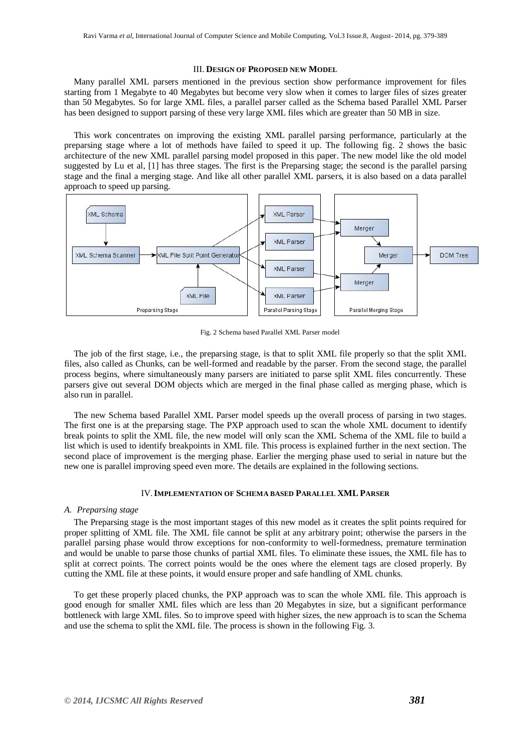#### III. **DESIGN OF PROPOSED NEW MODEL**

Many parallel XML parsers mentioned in the previous section show performance improvement for files starting from 1 Megabyte to 40 Megabytes but become very slow when it comes to larger files of sizes greater than 50 Megabytes. So for large XML files, a parallel parser called as the Schema based Parallel XML Parser has been designed to support parsing of these very large XML files which are greater than 50 MB in size.

This work concentrates on improving the existing XML parallel parsing performance, particularly at the preparsing stage where a lot of methods have failed to speed it up. The following fig. 2 shows the basic architecture of the new XML parallel parsing model proposed in this paper. The new model like the old model suggested by Lu et al, [1] has three stages. The first is the Preparsing stage; the second is the parallel parsing stage and the final a merging stage. And like all other parallel XML parsers, it is also based on a data parallel approach to speed up parsing.



Fig. 2 Schema based Parallel XML Parser model

The job of the first stage, i.e., the preparsing stage, is that to split XML file properly so that the split XML files, also called as Chunks, can be well-formed and readable by the parser. From the second stage, the parallel process begins, where simultaneously many parsers are initiated to parse split XML files concurrently. These parsers give out several DOM objects which are merged in the final phase called as merging phase, which is also run in parallel.

The new Schema based Parallel XML Parser model speeds up the overall process of parsing in two stages. The first one is at the preparsing stage. The PXP approach used to scan the whole XML document to identify break points to split the XML file, the new model will only scan the XML Schema of the XML file to build a list which is used to identify breakpoints in XML file. This process is explained further in the next section. The second place of improvement is the merging phase. Earlier the merging phase used to serial in nature but the new one is parallel improving speed even more. The details are explained in the following sections.

## IV.**IMPLEMENTATION OF SCHEMA BASED PARALLEL XML PARSER**

#### *A. Preparsing stage*

The Preparsing stage is the most important stages of this new model as it creates the split points required for proper splitting of XML file. The XML file cannot be split at any arbitrary point; otherwise the parsers in the parallel parsing phase would throw exceptions for non-conformity to well-formedness, premature termination and would be unable to parse those chunks of partial XML files. To eliminate these issues, the XML file has to split at correct points. The correct points would be the ones where the element tags are closed properly. By cutting the XML file at these points, it would ensure proper and safe handling of XML chunks.

To get these properly placed chunks, the PXP approach was to scan the whole XML file. This approach is good enough for smaller XML files which are less than 20 Megabytes in size, but a significant performance bottleneck with large XML files. So to improve speed with higher sizes, the new approach is to scan the Schema and use the schema to split the XML file. The process is shown in the following Fig. 3.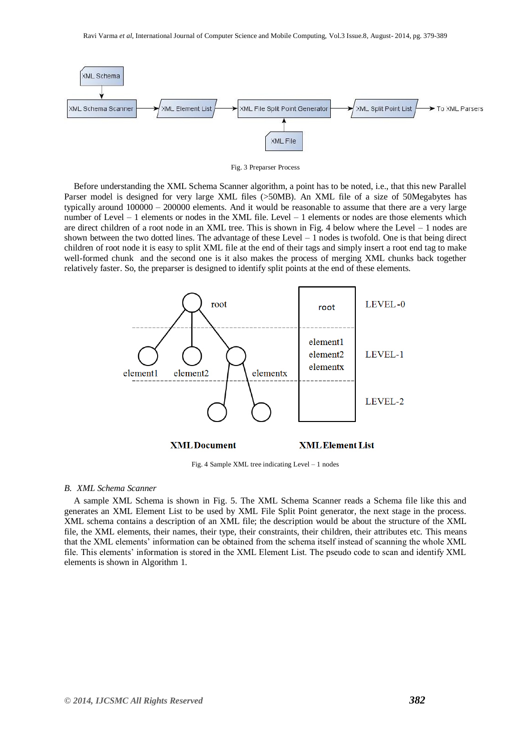

Fig. 3 Preparser Process

Before understanding the XML Schema Scanner algorithm, a point has to be noted, i.e., that this new Parallel Parser model is designed for very large XML files (>50MB). An XML file of a size of 50Megabytes has typically around 100000 – 200000 elements. And it would be reasonable to assume that there are a very large number of Level – 1 elements or nodes in the XML file. Level – 1 elements or nodes are those elements which are direct children of a root node in an XML tree. This is shown in Fig. 4 below where the Level – 1 nodes are shown between the two dotted lines. The advantage of these Level – 1 nodes is twofold. One is that being direct children of root node it is easy to split XML file at the end of their tags and simply insert a root end tag to make well-formed chunk and the second one is it also makes the process of merging XML chunks back together relatively faster. So, the preparser is designed to identify split points at the end of these elements.



Fig. 4 Sample XML tree indicating Level – 1 nodes

# *B. XML Schema Scanner*

A sample XML Schema is shown in Fig. 5. The XML Schema Scanner reads a Schema file like this and generates an XML Element List to be used by XML File Split Point generator, the next stage in the process. XML schema contains a description of an XML file; the description would be about the structure of the XML file, the XML elements, their names, their type, their constraints, their children, their attributes etc. This means that the XML elements' information can be obtained from the schema itself instead of scanning the whole XML file. This elements' information is stored in the XML Element List. The pseudo code to scan and identify XML elements is shown in Algorithm 1.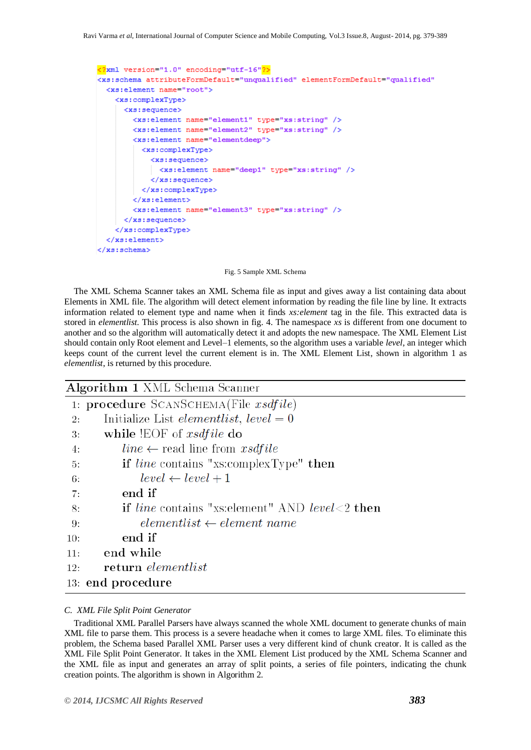```
<?xml version="1.0" encoding="utf-16"?>
<xs:schema attributeFormDefault="unqualified" elementFormDefault="qualified"
  <xs:element name="root">
    <xs:complexType>
      <xs:sequence>
        <xs:element name="element1" type="xs:string" />
        <xs:element name="element2" type="xs:string" />
        <xs:element name="elementdeep">
          <xs:complexType>
            <xs:sequence>
             <xs:element name="deep1" type="xs:string" />
            </xs:sequence>
          </xs:complexType>
        </xs:element>
        <xs:element name="element3" type="xs:string" />
      </xs:sequence>
    </xs:complexType>
  </xs:element>
</xs:schema>
```
#### Fig. 5 Sample XML Schema

The XML Schema Scanner takes an XML Schema file as input and gives away a list containing data about Elements in XML file. The algorithm will detect element information by reading the file line by line. It extracts information related to element type and name when it finds *xs:element* tag in the file. This extracted data is stored in *elementlist*. This process is also shown in fig. 4. The namespace *xs* is different from one document to another and so the algorithm will automatically detect it and adopts the new namespace. The XML Element List should contain only Root element and Level–1 elements, so the algorithm uses a variable *level*, an integer which keeps count of the current level the current element is in. The XML Element List, shown in algorithm 1 as *elementlist*, is returned by this procedure.

| <b>Algorithm 1</b> XML Schema Scanner |                                                              |  |  |  |  |
|---------------------------------------|--------------------------------------------------------------|--|--|--|--|
|                                       | 1: procedure $S$ CANSCHEMA(File $x \text{s} d \text{file}$ ) |  |  |  |  |
| 2:                                    | Initialize List <i>elementlist</i> , $level = 0$             |  |  |  |  |
| 3.                                    | while !EOF of <i>xsdfile</i> do                              |  |  |  |  |
| 4:                                    | <i>line</i> $\leftarrow$ read line from <i>xsdfile</i>       |  |  |  |  |
| 5.                                    | <b>if</b> line contains "xs:complexType" <b>then</b>         |  |  |  |  |
| 6:                                    | $level \leftarrow level + 1$                                 |  |  |  |  |
| 7:                                    | end if                                                       |  |  |  |  |
| 8:                                    | <b>if</b> line contains "xs: element" AND level $< 2$ then   |  |  |  |  |
| 9:                                    | $elementlist \leftarrow element name$                        |  |  |  |  |
| 10:                                   | end if                                                       |  |  |  |  |
| 11:                                   | end while                                                    |  |  |  |  |
| 12:                                   | return elementlist                                           |  |  |  |  |
|                                       | 13: end procedure                                            |  |  |  |  |
|                                       |                                                              |  |  |  |  |

# *C. XML File Split Point Generator*

Traditional XML Parallel Parsers have always scanned the whole XML document to generate chunks of main XML file to parse them. This process is a severe headache when it comes to large XML files. To eliminate this problem, the Schema based Parallel XML Parser uses a very different kind of chunk creator. It is called as the XML File Split Point Generator. It takes in the XML Element List produced by the XML Schema Scanner and the XML file as input and generates an array of split points, a series of file pointers, indicating the chunk creation points. The algorithm is shown in Algorithm 2.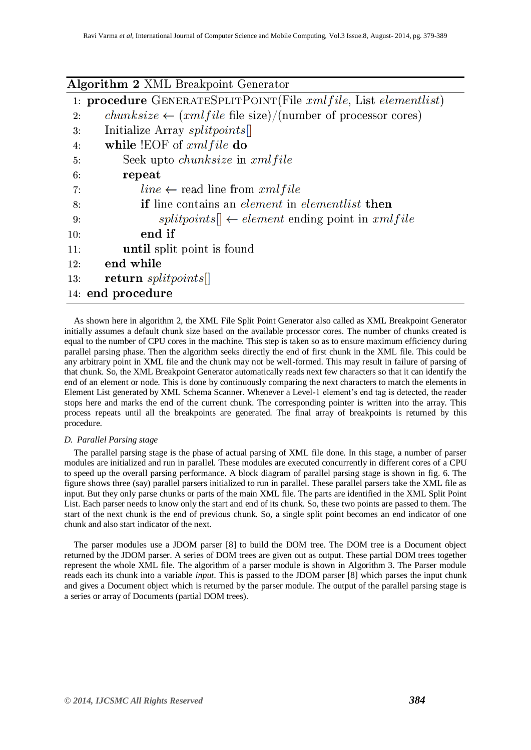| Algorithm 2 XML Breakpoint Generator |                                                                                       |  |  |  |  |
|--------------------------------------|---------------------------------------------------------------------------------------|--|--|--|--|
|                                      | 1: <b>procedure</b> GENERATESPLITPOINT(File $rmfile$ , List elementlist)              |  |  |  |  |
| 2:                                   | <i>chunksize</i> $\leftarrow$ ( <i>xmlfile</i> file size)/(number of processor cores) |  |  |  |  |
| 3.                                   | Initialize Array splitpoints                                                          |  |  |  |  |
| 4:                                   | while $!EOF$ of $cmIfile$ do                                                          |  |  |  |  |
| 5:                                   | Seek upto <i>chunksize</i> in <i>xmlfile</i>                                          |  |  |  |  |
| 6:                                   | repeat                                                                                |  |  |  |  |
| 7:                                   | <i>line</i> $\leftarrow$ read line from <i>xmlfile</i>                                |  |  |  |  |
| 8:                                   | <b>if</b> line contains an <i>element</i> in <i>elementlist</i> <b>then</b>           |  |  |  |  |
| 9:                                   | $splits[ \leftarrow element$ ending point in $cmified$                                |  |  |  |  |
| 10:                                  | end if                                                                                |  |  |  |  |
| 11:                                  | until split point is found                                                            |  |  |  |  |
| 12:                                  | end while                                                                             |  |  |  |  |
| 13:                                  | return splitpoints.                                                                   |  |  |  |  |
|                                      | 14: end procedure                                                                     |  |  |  |  |

As shown here in algorithm 2, the XML File Split Point Generator also called as XML Breakpoint Generator initially assumes a default chunk size based on the available processor cores. The number of chunks created is equal to the number of CPU cores in the machine. This step is taken so as to ensure maximum efficiency during parallel parsing phase. Then the algorithm seeks directly the end of first chunk in the XML file. This could be any arbitrary point in XML file and the chunk may not be well-formed. This may result in failure of parsing of that chunk. So, the XML Breakpoint Generator automatically reads next few characters so that it can identify the end of an element or node. This is done by continuously comparing the next characters to match the elements in Element List generated by XML Schema Scanner. Whenever a Level-1 element's end tag is detected, the reader stops here and marks the end of the current chunk. The corresponding pointer is written into the array. This process repeats until all the breakpoints are generated. The final array of breakpoints is returned by this procedure.

## *D. Parallel Parsing stage*

The parallel parsing stage is the phase of actual parsing of XML file done. In this stage, a number of parser modules are initialized and run in parallel. These modules are executed concurrently in different cores of a CPU to speed up the overall parsing performance. A block diagram of parallel parsing stage is shown in fig. 6. The figure shows three (say) parallel parsers initialized to run in parallel. These parallel parsers take the XML file as input. But they only parse chunks or parts of the main XML file. The parts are identified in the XML Split Point List. Each parser needs to know only the start and end of its chunk. So, these two points are passed to them. The start of the next chunk is the end of previous chunk. So, a single split point becomes an end indicator of one chunk and also start indicator of the next.

The parser modules use a JDOM parser [8] to build the DOM tree. The DOM tree is a Document object returned by the JDOM parser. A series of DOM trees are given out as output. These partial DOM trees together represent the whole XML file. The algorithm of a parser module is shown in Algorithm 3. The Parser module reads each its chunk into a variable *input*. This is passed to the JDOM parser [8] which parses the input chunk and gives a Document object which is returned by the parser module. The output of the parallel parsing stage is a series or array of Documents (partial DOM trees).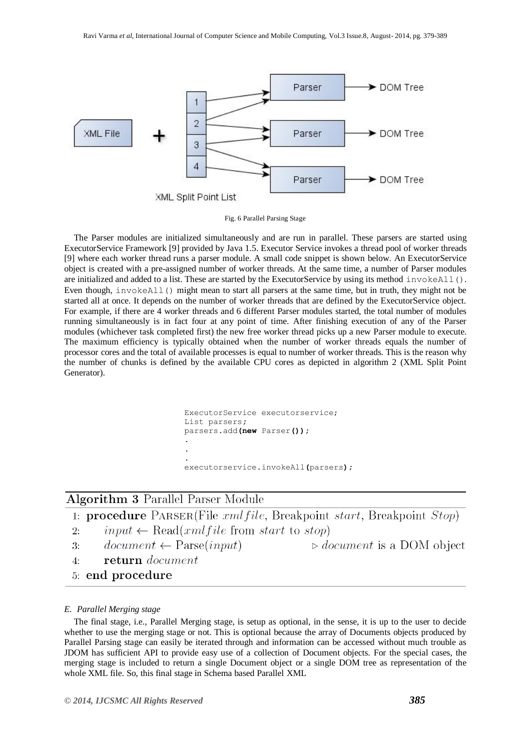

Fig. 6 Parallel Parsing Stage

The Parser modules are initialized simultaneously and are run in parallel. These parsers are started using ExecutorService Framework [9] provided by Java 1.5. Executor Service invokes a thread pool of worker threads [9] where each worker thread runs a parser module. A small code snippet is shown below. An ExecutorService object is created with a pre-assigned number of worker threads. At the same time, a number of Parser modules are initialized and added to a list. These are started by the ExecutorService by using its method invokeAll(). Even though, invokeAll() might mean to start all parsers at the same time, but in truth, they might not be started all at once. It depends on the number of worker threads that are defined by the ExecutorService object. For example, if there are 4 worker threads and 6 different Parser modules started, the total number of modules running simultaneously is in fact four at any point of time. After finishing execution of any of the Parser modules (whichever task completed first) the new free worker thread picks up a new Parser module to execute. The maximum efficiency is typically obtained when the number of worker threads equals the number of processor cores and the total of available processes is equal to number of worker threads. This is the reason why the number of chunks is defined by the available CPU cores as depicted in algorithm 2 (XML Split Point Generator).

```
ExecutorService executorservice;
List parsers;
parsers.add(new Parser());
. 
.
. 
executorservice.invokeAll(parsers);
```
# Algorithm 3 Parallel Parser Module



## *E. Parallel Merging stage*

The final stage, i.e., Parallel Merging stage, is setup as optional, in the sense, it is up to the user to decide whether to use the merging stage or not. This is optional because the array of Documents objects produced by Parallel Parsing stage can easily be iterated through and information can be accessed without much trouble as JDOM has sufficient API to provide easy use of a collection of Document objects. For the special cases, the merging stage is included to return a single Document object or a single DOM tree as representation of the whole XML file. So, this final stage in Schema based Parallel XML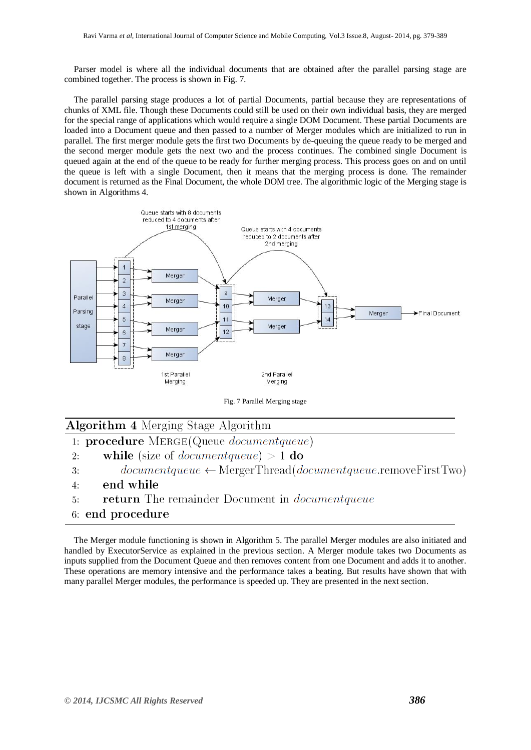Parser model is where all the individual documents that are obtained after the parallel parsing stage are combined together. The process is shown in Fig. 7.

The parallel parsing stage produces a lot of partial Documents, partial because they are representations of chunks of XML file. Though these Documents could still be used on their own individual basis, they are merged for the special range of applications which would require a single DOM Document. These partial Documents are loaded into a Document queue and then passed to a number of Merger modules which are initialized to run in parallel. The first merger module gets the first two Documents by de-queuing the queue ready to be merged and the second merger module gets the next two and the process continues. The combined single Document is queued again at the end of the queue to be ready for further merging process. This process goes on and on until the queue is left with a single Document, then it means that the merging process is done. The remainder document is returned as the Final Document, the whole DOM tree. The algorithmic logic of the Merging stage is shown in Algorithms 4.



Fig. 7 Parallel Merging stage

| <b>Algorithm 4</b> Merging Stage Algorithm |  |  |  |  |  |
|--------------------------------------------|--|--|--|--|--|
|--------------------------------------------|--|--|--|--|--|

- 1: procedure MERGE(Queue documentqueue)
- $\mathfrak{D}$ . while (size of *documentqueue*)  $> 1$  do
- $documentqueue \leftarrow \text{Merge}$ Thread( $documentqueue$ .removeFirstTwo)  $3:$
- end while  $4:$
- return The remainder Document in *documentqueue*  $\overline{5}$ :
- 6: end procedure

The Merger module functioning is shown in Algorithm 5. The parallel Merger modules are also initiated and handled by ExecutorService as explained in the previous section. A Merger module takes two Documents as inputs supplied from the Document Queue and then removes content from one Document and adds it to another. These operations are memory intensive and the performance takes a beating. But results have shown that with many parallel Merger modules, the performance is speeded up. They are presented in the next section.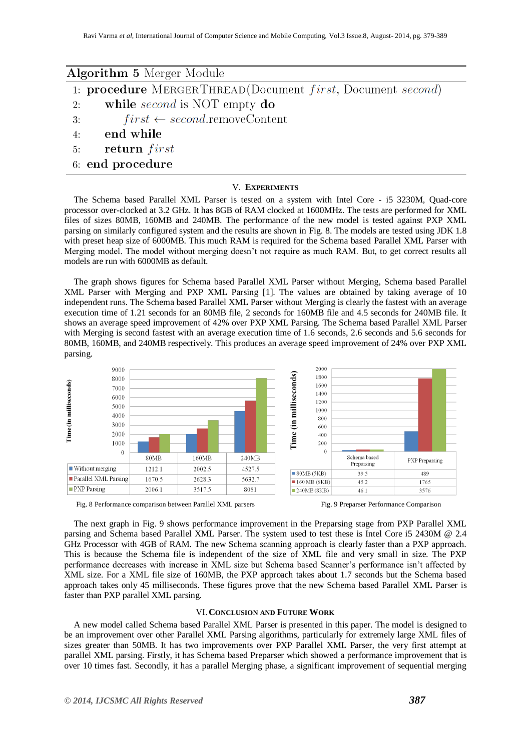| <b>Algorithm 5</b> Merger Module                                                  |  |  |  |  |  |
|-----------------------------------------------------------------------------------|--|--|--|--|--|
| 1: <b>procedure</b> MERGERTHREAD(Document <i>first</i> , Document <i>second</i> ) |  |  |  |  |  |
| while <i>second</i> is NOT empty do<br>2:                                         |  |  |  |  |  |
| $first \leftarrow second$ .removeContent<br>3:                                    |  |  |  |  |  |
| end while<br>4:                                                                   |  |  |  |  |  |
| return first<br>5:                                                                |  |  |  |  |  |
| 6: end procedure                                                                  |  |  |  |  |  |

#### V. **EXPERIMENTS**

The Schema based Parallel XML Parser is tested on a system with Intel Core - i5 3230M, Quad-core processor over-clocked at 3.2 GHz. It has 8GB of RAM clocked at 1600MHz. The tests are performed for XML files of sizes 80MB, 160MB and 240MB. The performance of the new model is tested against PXP XML parsing on similarly configured system and the results are shown in Fig. 8. The models are tested using JDK 1.8 with preset heap size of 6000MB. This much RAM is required for the Schema based Parallel XML Parser with Merging model. The model without merging doesn't not require as much RAM. But, to get correct results all models are run with 6000MB as default.

The graph shows figures for Schema based Parallel XML Parser without Merging, Schema based Parallel XML Parser with Merging and PXP XML Parsing [1]. The values are obtained by taking average of 10 independent runs. The Schema based Parallel XML Parser without Merging is clearly the fastest with an average execution time of 1.21 seconds for an 80MB file, 2 seconds for 160MB file and 4.5 seconds for 240MB file. It shows an average speed improvement of 42% over PXP XML Parsing. The Schema based Parallel XML Parser with Merging is second fastest with an average execution time of 1.6 seconds, 2.6 seconds and 5.6 seconds for 80MB, 160MB, and 240MB respectively. This produces an average speed improvement of 24% over PXP XML parsing.





The next graph in Fig. 9 shows performance improvement in the Preparsing stage from PXP Parallel XML parsing and Schema based Parallel XML Parser. The system used to test these is Intel Core i5 2430M @ 2.4 GHz Processor with 4GB of RAM. The new Schema scanning approach is clearly faster than a PXP approach. This is because the Schema file is independent of the size of XML file and very small in size. The PXP performance decreases with increase in XML size but Schema based Scanner's performance isn't affected by XML size. For a XML file size of 160MB, the PXP approach takes about 1.7 seconds but the Schema based approach takes only 45 milliseconds. These figures prove that the new Schema based Parallel XML Parser is faster than PXP parallel XML parsing.

#### VI.**CONCLUSION AND FUTURE WORK**

A new model called Schema based Parallel XML Parser is presented in this paper. The model is designed to be an improvement over other Parallel XML Parsing algorithms, particularly for extremely large XML files of sizes greater than 50MB. It has two improvements over PXP Parallel XML Parser, the very first attempt at parallel XML parsing. Firstly, it has Schema based Preparser which showed a performance improvement that is over 10 times fast. Secondly, it has a parallel Merging phase, a significant improvement of sequential merging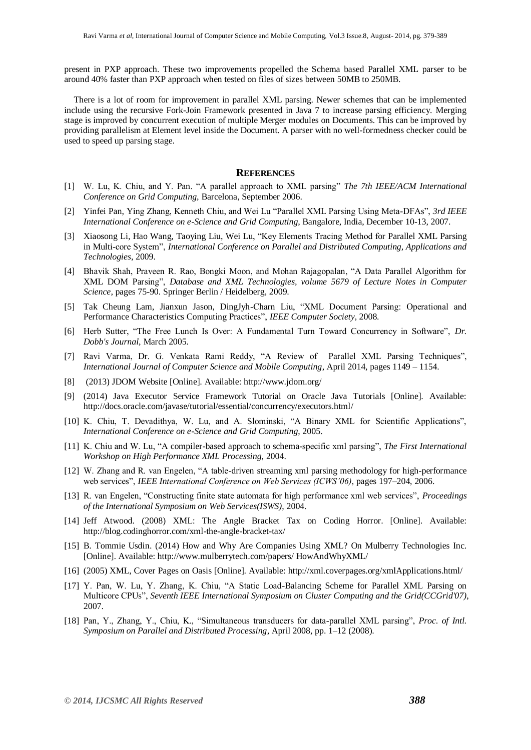present in PXP approach. These two improvements propelled the Schema based Parallel XML parser to be around 40% faster than PXP approach when tested on files of sizes between 50MB to 250MB.

There is a lot of room for improvement in parallel XML parsing. Newer schemes that can be implemented include using the recursive Fork-Join Framework presented in Java 7 to increase parsing efficiency. Merging stage is improved by concurrent execution of multiple Merger modules on Documents. This can be improved by providing parallelism at Element level inside the Document. A parser with no well-formedness checker could be used to speed up parsing stage.

# **REFERENCES**

- [1] W. Lu, K. Chiu, and Y. Pan. "A parallel approach to XML parsing" *The 7th IEEE/ACM International Conference on Grid Computing*, Barcelona, September 2006.
- [2] Yinfei Pan, Ying Zhang, Kenneth Chiu, and Wei Lu "Parallel XML Parsing Using Meta-DFAs", *3rd IEEE International Conference on e-Science and Grid Computing*, Bangalore, India, December 10-13, 2007.
- [3] Xiaosong Li, Hao Wang, Taoying Liu, Wei Lu, "Key Elements Tracing Method for Parallel XML Parsing in Multi-core System", *International Conference on Parallel and Distributed Computing, Applications and Technologies*, 2009.
- [4] Bhavik Shah, Praveen R. Rao, Bongki Moon, and Mohan Rajagopalan, "A Data Parallel Algorithm for XML DOM Parsing", *Database and XML Technologies, volume 5679 of Lecture Notes in Computer Science*, pages 75-90. Springer Berlin / Heidelberg, 2009.
- [5] Tak Cheung Lam, Jianxun Jason, DingJyh-Charn Liu, "XML Document Parsing: Operational and Performance Characteristics Computing Practices", *IEEE Computer Society*, 2008.
- [6] Herb Sutter, "The Free Lunch Is Over: A Fundamental Turn Toward Concurrency in Software", *Dr. Dobb's Journal*, March 2005.
- [7] Ravi Varma, Dr. G. Venkata Rami Reddy, "A Review of Parallel XML Parsing Techniques", *International Journal of Computer Science and Mobile Computing*, April 2014, pages 1149 – 1154.
- [8] (2013) JDOM Website [Online]. Available: http://www.jdom.org/
- [9] (2014) Java Executor Service Framework Tutorial on Oracle Java Tutorials [Online]. Available: http://docs.oracle.com/javase/tutorial/essential/concurrency/executors.html/
- [10] K. Chiu, T. Devadithya, W. Lu, and A. Slominski, "A Binary XML for Scientific Applications", *International Conference on e-Science and Grid Computing*, 2005.
- [11] K. Chiu and W. Lu, "A compiler-based approach to schema-specific xml parsing", *The First International Workshop on High Performance XML Processing*, 2004.
- [12] W. Zhang and R. van Engelen, "A table-driven streaming xml parsing methodology for high-performance web services", *IEEE International Conference on Web Services (ICWS'06)*, pages 197–204, 2006.
- [13] R. van Engelen, "Constructing finite state automata for high performance xml web services", *Proceedings of the International Symposium on Web Services(ISWS)*, 2004.
- [14] Jeff Atwood. (2008) XML: The Angle Bracket Tax on Coding Horror. [Online]. Available: http://blog.codinghorror.com/xml-the-angle-bracket-tax/
- [15] B. Tommie Usdin. (2014) How and Why Are Companies Using XML? On Mulberry Technologies Inc. [Online]. Available: http://www.mulberrytech.com/papers/ HowAndWhyXML/
- [16] (2005) XML, Cover Pages on Oasis [Online]. Available: http://xml.coverpages.org/xmlApplications.html/
- [17] Y. Pan, W. Lu, Y. Zhang, K. Chiu, "A Static Load-Balancing Scheme for Parallel XML Parsing on Multicore CPUs", *Seventh IEEE International Symposium on Cluster Computing and the Grid(CCGrid'07)*, 2007.
- [18] Pan, Y., Zhang, Y., Chiu, K., "Simultaneous transducers for data-parallel XML parsing", *Proc. of Intl. Symposium on Parallel and Distributed Processing*, April 2008, pp. 1–12 (2008).